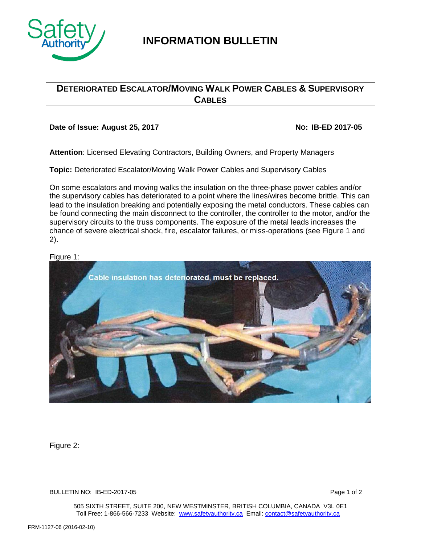

# **INFORMATION BULLETIN**

## **DETERIORATED ESCALATOR/MOVING WALK POWER CABLES & SUPERVISORY CABLES**

### **Date of Issue: August 25, 2017 NO: IB-ED 2017-05**

**Attention**: Licensed Elevating Contractors, Building Owners, and Property Managers

**Topic:** Deteriorated Escalator/Moving Walk Power Cables and Supervisory Cables

On some escalators and moving walks the insulation on the three-phase power cables and/or the supervisory cables has deteriorated to a point where the lines/wires become brittle. This can lead to the insulation breaking and potentially exposing the metal conductors. These cables can be found connecting the main disconnect to the controller, the controller to the motor, and/or the supervisory circuits to the truss components. The exposure of the metal leads increases the chance of severe electrical shock, fire, escalator failures, or miss-operations (see Figure 1 and 2).

### Figure 1:



Figure 2:

BULLETIN NO: IB-ED-2017-05 Page 1 of 2

505 SIXTH STREET, SUITE 200, NEW WESTMINSTER, BRITISH COLUMBIA, CANADA V3L 0E1 Toll Free: 1-866-566-7233 Website: [www.safetyauthority.ca](http://www.safetyauthority.ca/) Email[: contact@safetyauthority.ca](mailto:contact@safetyauthority.ca)